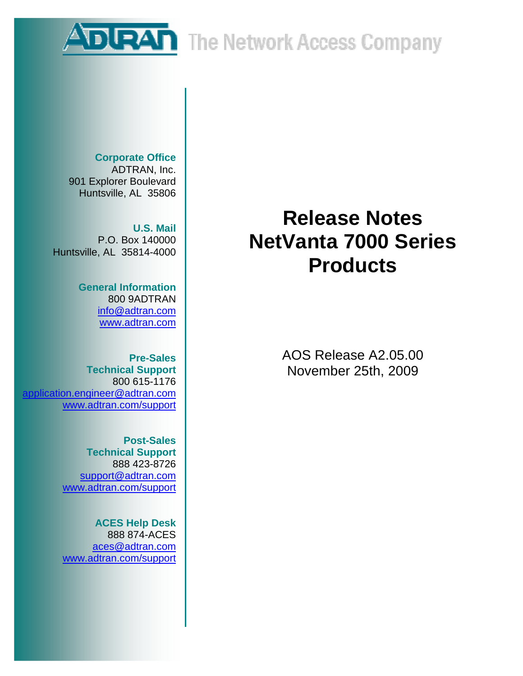**DURAN** The Network Access Company

**Corporate Office**  ADTRAN, Inc. 901 Explorer Boulevard Huntsville, AL 35806

**U.S. Mail**  P.O. Box 140000 Huntsville, AL 35814-4000

> **General Information**  800 9ADTRAN info@adtran.com www.adtran.com

**Pre-Sales Technical Support** 800 615-1176 application.engineer@adtran.com www.adtran.com/support

> **Post-Sales Technical Support** 888 423-8726 support@adtran.com www.adtran.com/support

> **ACES Help Desk**  888 874-ACES aces@adtran.com www.adtran.com/support

# **Release Notes NetVanta 7000 Series Products**

AOS Release A2.05.00 November 25th, 2009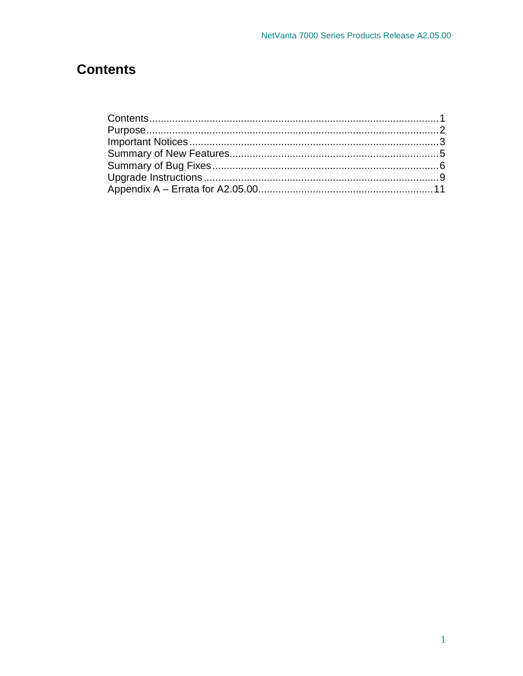## **Contents**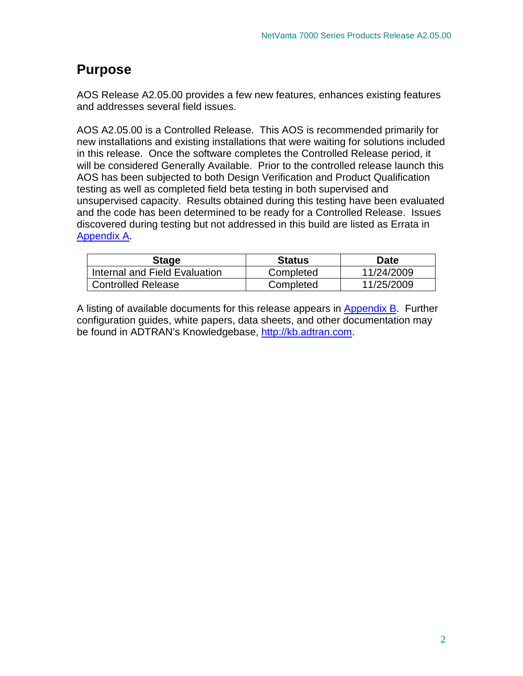### **Purpose**

AOS Release A2.05.00 provides a few new features, enhances existing features and addresses several field issues.

AOS A2.05.00 is a Controlled Release. This AOS is recommended primarily for new installations and existing installations that were waiting for solutions included in this release. Once the software completes the Controlled Release period, it will be considered Generally Available. Prior to the controlled release launch this AOS has been subjected to both Design Verification and Product Qualification testing as well as completed field beta testing in both supervised and unsupervised capacity. Results obtained during this testing have been evaluated and the code has been determined to be ready for a Controlled Release. Issues discovered during testing but not addressed in this build are listed as Errata in Appendix A.

| Stage                         | <b>Status</b> | Date       |
|-------------------------------|---------------|------------|
| Internal and Field Evaluation | Completed     | 11/24/2009 |
| <b>Controlled Release</b>     | Completed     | 11/25/2009 |

A listing of available documents for this release appears in **Appendix B**. Further configuration guides, white papers, data sheets, and other documentation may be found in ADTRAN's Knowledgebase, http://kb.adtran.com.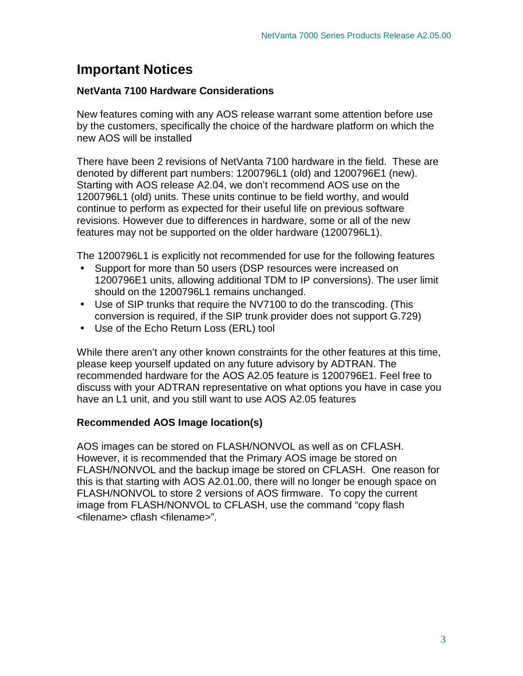### **Important Notices**

#### **NetVanta 7100 Hardware Considerations**

New features coming with any AOS release warrant some attention before use by the customers, specifically the choice of the hardware platform on which the new AOS will be installed

There have been 2 revisions of NetVanta 7100 hardware in the field. These are denoted by different part numbers: 1200796L1 (old) and 1200796E1 (new). Starting with AOS release A2.04, we don't recommend AOS use on the 1200796L1 (old) units. These units continue to be field worthy, and would continue to perform as expected for their useful life on previous software revisions. However due to differences in hardware, some or all of the new features may not be supported on the older hardware (1200796L1).

The 1200796L1 is explicitly not recommended for use for the following features

- Support for more than 50 users (DSP resources were increased on 1200796E1 units, allowing additional TDM to IP conversions). The user limit should on the 1200796L1 remains unchanged.
- Use of SIP trunks that require the NV7100 to do the transcoding. (This conversion is required, if the SIP trunk provider does not support G.729)
- Use of the Echo Return Loss (ERL) tool

While there aren't any other known constraints for the other features at this time, please keep yourself updated on any future advisory by ADTRAN. The recommended hardware for the AOS A2.05 feature is 1200796E1. Feel free to discuss with your ADTRAN representative on what options you have in case you have an L1 unit, and you still want to use AOS A2.05 features

#### **Recommended AOS Image location(s)**

AOS images can be stored on FLASH/NONVOL as well as on CFLASH. However, it is recommended that the Primary AOS image be stored on FLASH/NONVOL and the backup image be stored on CFLASH. One reason for this is that starting with AOS A2.01.00, there will no longer be enough space on FLASH/NONVOL to store 2 versions of AOS firmware. To copy the current image from FLASH/NONVOL to CFLASH, use the command "copy flash <filename> cflash <filename>".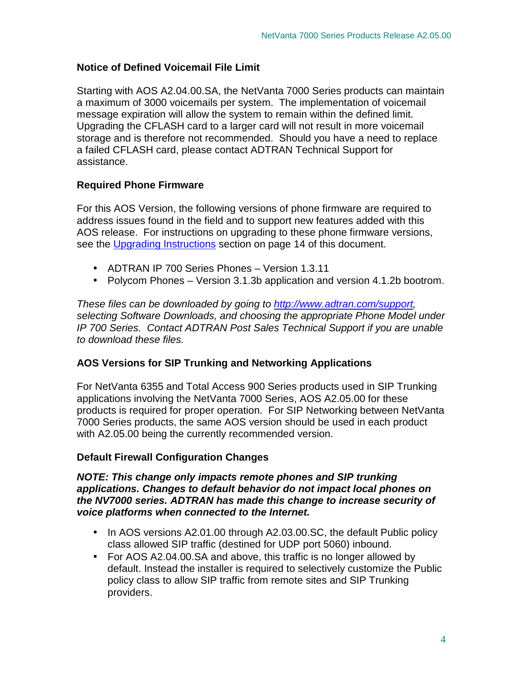### **Notice of Defined Voicemail File Limit**

Starting with AOS A2.04.00.SA, the NetVanta 7000 Series products can maintain a maximum of 3000 voicemails per system. The implementation of voicemail message expiration will allow the system to remain within the defined limit. Upgrading the CFLASH card to a larger card will not result in more voicemail storage and is therefore not recommended. Should you have a need to replace a failed CFLASH card, please contact ADTRAN Technical Support for assistance.

#### **Required Phone Firmware**

For this AOS Version, the following versions of phone firmware are required to address issues found in the field and to support new features added with this AOS release. For instructions on upgrading to these phone firmware versions, see the Upgrading Instructions section on page 14 of this document.

- ADTRAN IP 700 Series Phones Version 1.3.11
- Polycom Phones Version 3.1.3b application and version 4.1.2b bootrom.

These files can be downloaded by going to http://www.adtran.com/support, selecting Software Downloads, and choosing the appropriate Phone Model under IP 700 Series. Contact ADTRAN Post Sales Technical Support if you are unable to download these files.

#### **AOS Versions for SIP Trunking and Networking Applications**

For NetVanta 6355 and Total Access 900 Series products used in SIP Trunking applications involving the NetVanta 7000 Series, AOS A2.05.00 for these products is required for proper operation. For SIP Networking between NetVanta 7000 Series products, the same AOS version should be used in each product with A2.05.00 being the currently recommended version.

#### **Default Firewall Configuration Changes**

#### **NOTE: This change only impacts remote phones and SIP trunking applications. Changes to default behavior do not impact local phones on the NV7000 series. ADTRAN has made this change to increase security of voice platforms when connected to the Internet.**

- In AOS versions A2.01.00 through A2.03.00.SC, the default Public policy class allowed SIP traffic (destined for UDP port 5060) inbound.
- For AOS A2.04.00. SA and above, this traffic is no longer allowed by default. Instead the installer is required to selectively customize the Public policy class to allow SIP traffic from remote sites and SIP Trunking providers.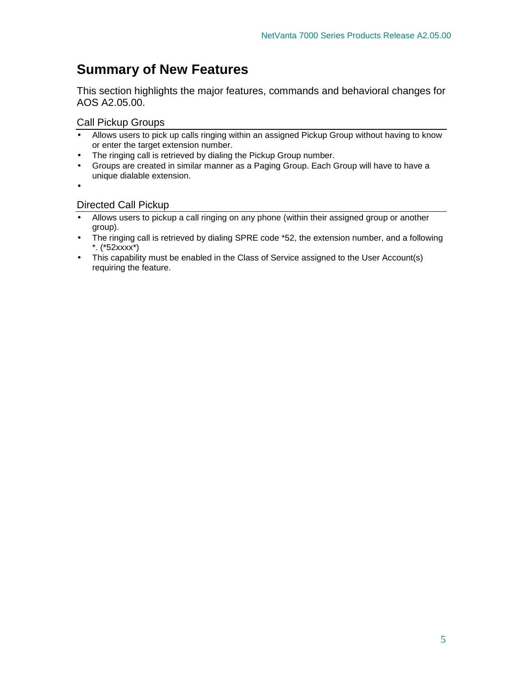### **Summary of New Features**

This section highlights the major features, commands and behavioral changes for AOS A2.05.00.

Call Pickup Groups

- Allows users to pick up calls ringing within an assigned Pickup Group without having to know or enter the target extension number.
- The ringing call is retrieved by dialing the Pickup Group number.
- Groups are created in similar manner as a Paging Group. Each Group will have to have a unique dialable extension.
- •

#### Directed Call Pickup

- Allows users to pickup a call ringing on any phone (within their assigned group or another group).
- The ringing call is retrieved by dialing SPRE code \*52, the extension number, and a following \*. (\*52xxxx\*)
- This capability must be enabled in the Class of Service assigned to the User Account(s) requiring the feature.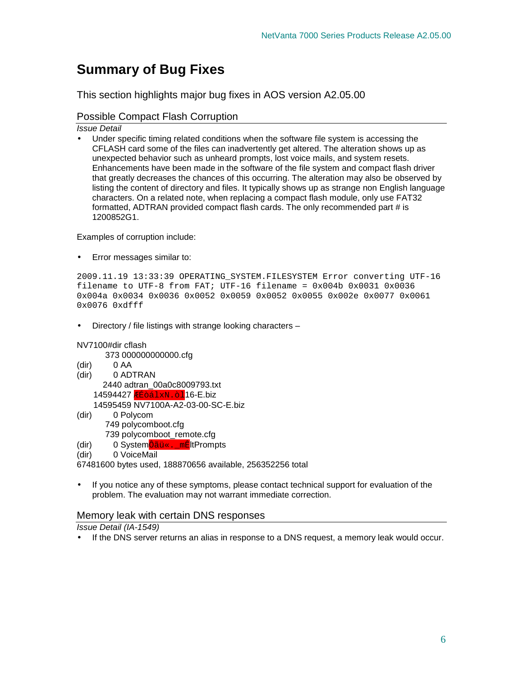### **Summary of Bug Fixes**

This section highlights major bug fixes in AOS version A2.05.00

#### Possible Compact Flash Corruption

Issue Detail

• Under specific timing related conditions when the software file system is accessing the CFLASH card some of the files can inadvertently get altered. The alteration shows up as unexpected behavior such as unheard prompts, lost voice mails, and system resets. Enhancements have been made in the software of the file system and compact flash driver that greatly decreases the chances of this occurring. The alteration may also be observed by listing the content of directory and files. It typically shows up as strange non English language characters. On a related note, when replacing a compact flash module, only use FAT32 formatted, ADTRAN provided compact flash cards. The only recommended part # is 1200852G1.

Examples of corruption include:

• Error messages similar to:

```
2009.11.19 13:33:39 OPERATING_SYSTEM.FILESYSTEM Error converting UTF-16 
filename to UTF-8 from FAT; UTF-16 filename = 0 \times 004b 0\times 0031 0\times 00360x004a 0x0034 0x0036 0x0052 0x0059 0x0052 0x0055 0x002e 0x0077 0x0061 
0x0076 0xdfff
```
• Directory / file listings with strange looking characters –

#### NV7100#dir cflash

373 000000000000.cfg

- (dir) 0 AA
- (dir) 0 ADTRAN 2440 adtran\_00a0c8009793.txt 14594427 **ÆÉòálxN.**òl<sup>16-E.biz</sup>

14595459 NV7100A-A2-03-00-SC-E.biz

- (dir) 0 Polycom 749 polycomboot.cfg 739 polycomboot\_remote.cfg
- (dir) 0 SystemÔãü«.\_mÊltPrompts
- (dir) 0 VoiceMail

67481600 bytes used, 188870656 available, 256352256 total

• If you notice any of these symptoms, please contact technical support for evaluation of the problem. The evaluation may not warrant immediate correction.

#### Memory leak with certain DNS responses

Issue Detail (IA-1549)

• If the DNS server returns an alias in response to a DNS request, a memory leak would occur.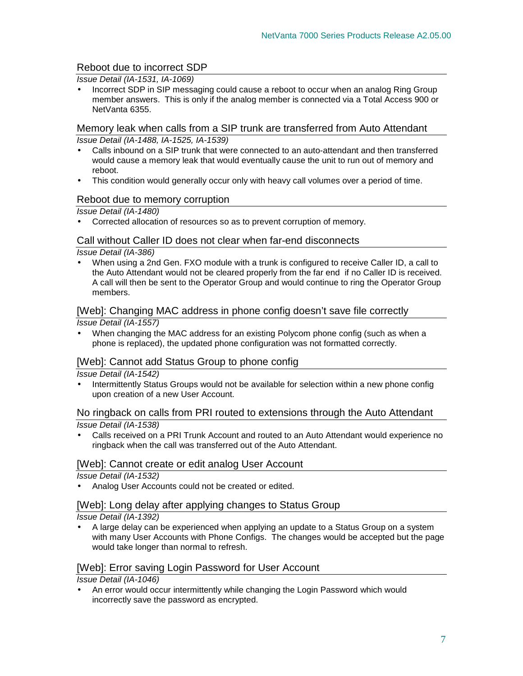#### Reboot due to incorrect SDP

Issue Detail (IA-1531, IA-1069)

• Incorrect SDP in SIP messaging could cause a reboot to occur when an analog Ring Group member answers. This is only if the analog member is connected via a Total Access 900 or NetVanta 6355.

Memory leak when calls from a SIP trunk are transferred from Auto Attendant Issue Detail (IA-1488, IA-1525, IA-1539)

- Calls inbound on a SIP trunk that were connected to an auto-attendant and then transferred would cause a memory leak that would eventually cause the unit to run out of memory and reboot.
- This condition would generally occur only with heavy call volumes over a period of time.

#### Reboot due to memory corruption

Issue Detail (IA-1480)

• Corrected allocation of resources so as to prevent corruption of memory.

#### Call without Caller ID does not clear when far-end disconnects

Issue Detail (IA-386)

• When using a 2nd Gen. FXO module with a trunk is configured to receive Caller ID, a call to the Auto Attendant would not be cleared properly from the far end if no Caller ID is received. A call will then be sent to the Operator Group and would continue to ring the Operator Group members.

#### [Web]: Changing MAC address in phone config doesn't save file correctly

Issue Detail (IA-1557)

• When changing the MAC address for an existing Polycom phone config (such as when a phone is replaced), the updated phone configuration was not formatted correctly.

#### [Web]: Cannot add Status Group to phone config

Issue Detail (IA-1542)

• Intermittently Status Groups would not be available for selection within a new phone config upon creation of a new User Account.

#### No ringback on calls from PRI routed to extensions through the Auto Attendant Issue Detail (IA-1538)

• Calls received on a PRI Trunk Account and routed to an Auto Attendant would experience no ringback when the call was transferred out of the Auto Attendant.

#### [Web]: Cannot create or edit analog User Account

Issue Detail (IA-1532)

• Analog User Accounts could not be created or edited.

#### [Web]: Long delay after applying changes to Status Group

Issue Detail (IA-1392)

• A large delay can be experienced when applying an update to a Status Group on a system with many User Accounts with Phone Configs. The changes would be accepted but the page would take longer than normal to refresh.

#### [Web]: Error saving Login Password for User Account

Issue Detail (IA-1046)

• An error would occur intermittently while changing the Login Password which would incorrectly save the password as encrypted.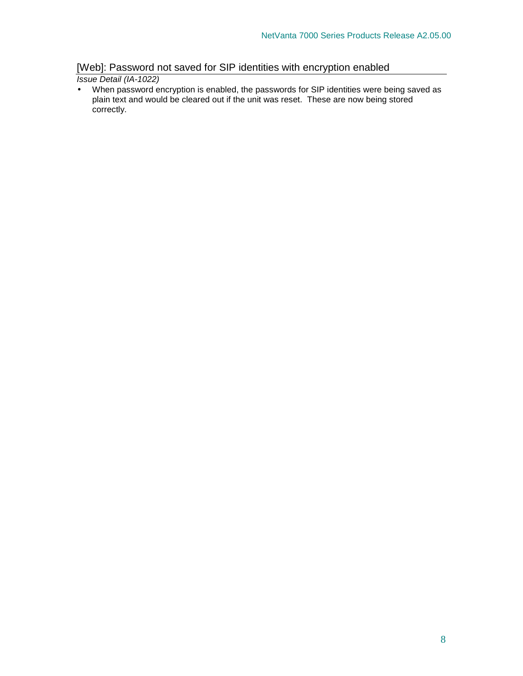### [Web]: Password not saved for SIP identities with encryption enabled

Issue Detail (IA-1022)

• When password encryption is enabled, the passwords for SIP identities were being saved as plain text and would be cleared out if the unit was reset. These are now being stored correctly.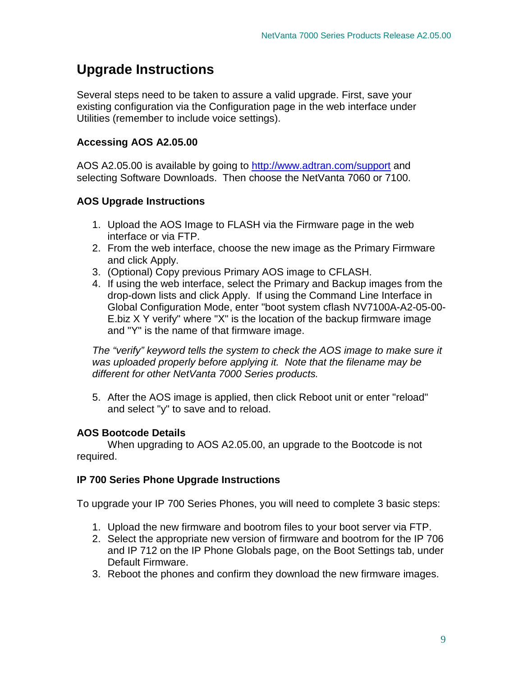### **Upgrade Instructions**

Several steps need to be taken to assure a valid upgrade. First, save your existing configuration via the Configuration page in the web interface under Utilities (remember to include voice settings).

#### **Accessing AOS A2.05.00**

AOS A2.05.00 is available by going to http://www.adtran.com/support and selecting Software Downloads. Then choose the NetVanta 7060 or 7100.

#### **AOS Upgrade Instructions**

- 1. Upload the AOS Image to FLASH via the Firmware page in the web interface or via FTP.
- 2. From the web interface, choose the new image as the Primary Firmware and click Apply.
- 3. (Optional) Copy previous Primary AOS image to CFLASH.
- 4. If using the web interface, select the Primary and Backup images from the drop-down lists and click Apply. If using the Command Line Interface in Global Configuration Mode, enter "boot system cflash NV7100A-A2-05-00- E.biz X Y verify" where "X" is the location of the backup firmware image and "Y" is the name of that firmware image.

The "verify" keyword tells the system to check the AOS image to make sure it was uploaded properly before applying it. Note that the filename may be different for other NetVanta 7000 Series products.

5. After the AOS image is applied, then click Reboot unit or enter "reload" and select "y" to save and to reload.

#### **AOS Bootcode Details**

When upgrading to AOS A2.05.00, an upgrade to the Bootcode is not required.

#### **IP 700 Series Phone Upgrade Instructions**

To upgrade your IP 700 Series Phones, you will need to complete 3 basic steps:

- 1. Upload the new firmware and bootrom files to your boot server via FTP.
- 2. Select the appropriate new version of firmware and bootrom for the IP 706 and IP 712 on the IP Phone Globals page, on the Boot Settings tab, under Default Firmware.
- 3. Reboot the phones and confirm they download the new firmware images.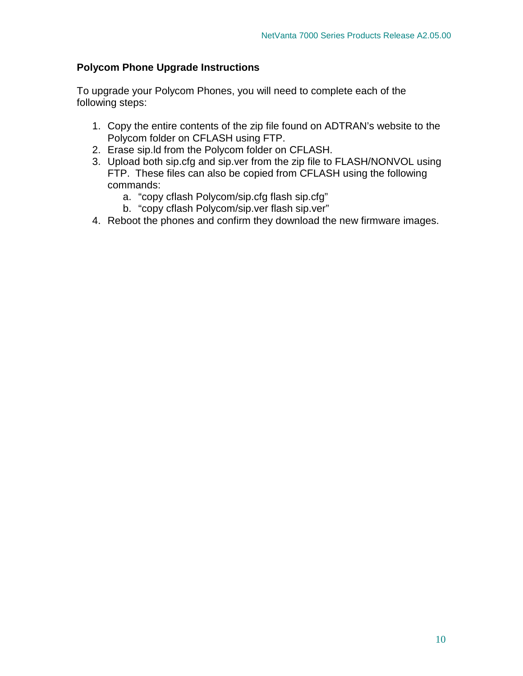#### **Polycom Phone Upgrade Instructions**

To upgrade your Polycom Phones, you will need to complete each of the following steps:

- 1. Copy the entire contents of the zip file found on ADTRAN's website to the Polycom folder on CFLASH using FTP.
- 2. Erase sip.ld from the Polycom folder on CFLASH.
- 3. Upload both sip.cfg and sip.ver from the zip file to FLASH/NONVOL using FTP. These files can also be copied from CFLASH using the following commands:
	- a. "copy cflash Polycom/sip.cfg flash sip.cfg"
	- b. "copy cflash Polycom/sip.ver flash sip.ver"
- 4. Reboot the phones and confirm they download the new firmware images.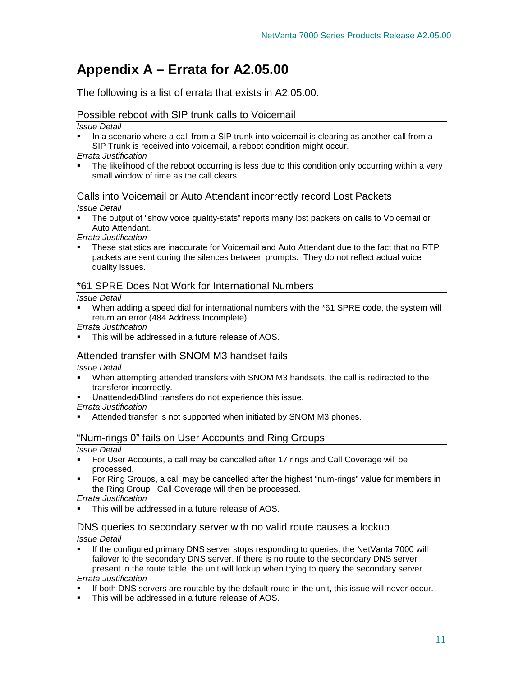## **Appendix A – Errata for A2.05.00**

The following is a list of errata that exists in A2.05.00.

#### Possible reboot with SIP trunk calls to Voicemail

#### Issue Detail

- In a scenario where a call from a SIP trunk into voicemail is clearing as another call from a SIP Trunk is received into voicemail, a reboot condition might occur.
- Errata Justification
- The likelihood of the reboot occurring is less due to this condition only occurring within a very small window of time as the call clears.

#### Calls into Voicemail or Auto Attendant incorrectly record Lost Packets

#### Issue Detail

 The output of "show voice quality-stats" reports many lost packets on calls to Voicemail or Auto Attendant.

Errata Justification

 These statistics are inaccurate for Voicemail and Auto Attendant due to the fact that no RTP packets are sent during the silences between prompts. They do not reflect actual voice quality issues.

#### \*61 SPRE Does Not Work for International Numbers

#### Issue Detail

 When adding a speed dial for international numbers with the \*61 SPRE code, the system will return an error (484 Address Incomplete).

Errata Justification

This will be addressed in a future release of AOS.

#### Attended transfer with SNOM M3 handset fails

Issue Detail

- When attempting attended transfers with SNOM M3 handsets, the call is redirected to the transferor incorrectly.
- Unattended/Blind transfers do not experience this issue.

Errata Justification

Attended transfer is not supported when initiated by SNOM M3 phones.

#### "Num-rings 0" fails on User Accounts and Ring Groups

Issue Detail

- For User Accounts, a call may be cancelled after 17 rings and Call Coverage will be processed.
- For Ring Groups, a call may be cancelled after the highest "num-rings" value for members in the Ring Group. Call Coverage will then be processed.

Errata Justification

This will be addressed in a future release of AOS.

#### DNS queries to secondary server with no valid route causes a lockup

#### Issue Detail

- If the configured primary DNS server stops responding to queries, the NetVanta 7000 will failover to the secondary DNS server. If there is no route to the secondary DNS server present in the route table, the unit will lockup when trying to query the secondary server. Errata Justification
- If both DNS servers are routable by the default route in the unit, this issue will never occur.
- This will be addressed in a future release of AOS.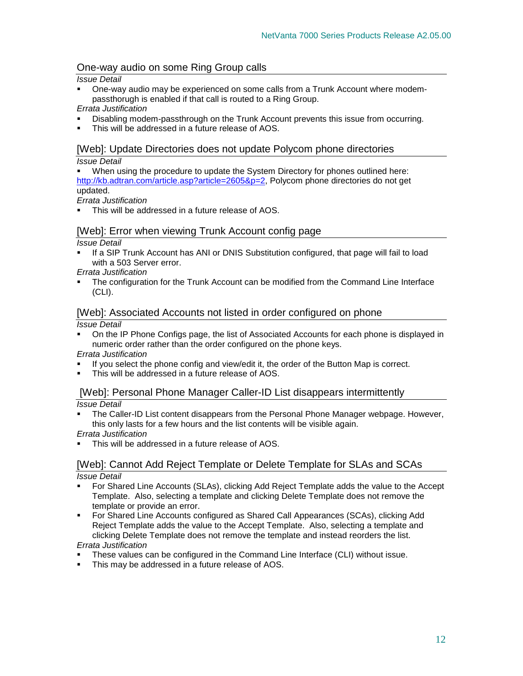#### One-way audio on some Ring Group calls

#### Issue Detail

 One-way audio may be experienced on some calls from a Trunk Account where modempassthorugh is enabled if that call is routed to a Ring Group.

#### Errata Justification

- Disabling modem-passthrough on the Trunk Account prevents this issue from occurring.
- This will be addressed in a future release of AOS.

#### [Web]: Update Directories does not update Polycom phone directories

#### Issue Detail

 When using the procedure to update the System Directory for phones outlined here: http://kb.adtran.com/article.asp?article=2605&p=2, Polycom phone directories do not get updated.

#### Errata Justification

This will be addressed in a future release of AOS.

#### [Web]: Error when viewing Trunk Account config page

#### Issue Detail

 If a SIP Trunk Account has ANI or DNIS Substitution configured, that page will fail to load with a 503 Server error.

#### Errata Justification

 The configuration for the Trunk Account can be modified from the Command Line Interface (CLI).

#### [Web]: Associated Accounts not listed in order configured on phone

#### Issue Detail

 On the IP Phone Configs page, the list of Associated Accounts for each phone is displayed in numeric order rather than the order configured on the phone keys.

#### Errata Justification

- If you select the phone config and view/edit it, the order of the Button Map is correct.
- This will be addressed in a future release of AOS.

#### [Web]: Personal Phone Manager Caller-ID List disappears intermittently

Issue Detail

 The Caller-ID List content disappears from the Personal Phone Manager webpage. However, this only lasts for a few hours and the list contents will be visible again.

#### Errata Justification

This will be addressed in a future release of AOS.

#### [Web]: Cannot Add Reject Template or Delete Template for SLAs and SCAs Issue Detail

- For Shared Line Accounts (SLAs), clicking Add Reject Template adds the value to the Accept Template. Also, selecting a template and clicking Delete Template does not remove the template or provide an error.
- For Shared Line Accounts configured as Shared Call Appearances (SCAs), clicking Add Reject Template adds the value to the Accept Template. Also, selecting a template and clicking Delete Template does not remove the template and instead reorders the list. Errata Justification

- These values can be configured in the Command Line Interface (CLI) without issue.
- This may be addressed in a future release of AOS.